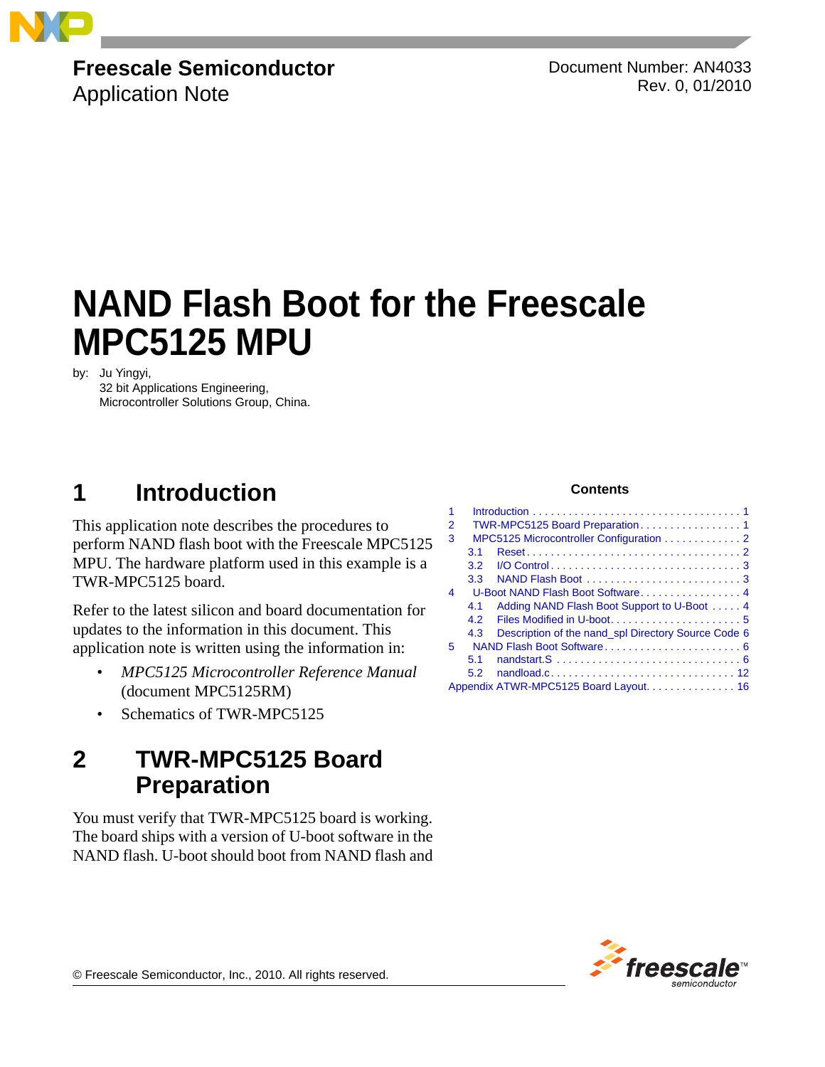

## **Freescale Semiconductor**

Application Note

Document Number: AN4033 Rev. 0, 01/2010

# **NAND Flash Boot for the Freescale MPC5125 MPU**

by: Ju Yingyi,

32 bit Applications Engineering, Microcontroller Solutions Group, China.

## <span id="page-0-0"></span>**1 Introduction**

This application note describes the procedures to perform NAND flash boot with the Freescale MPC5125 MPU. The hardware platform used in this example is a TWR-MPC5125 board.

Refer to the latest silicon and board documentation for updates to the information in this document. This application note is written using the information in:

- *MPC5125 Microcontroller Reference Manual* (document MPC5125RM)
- Schematics of TWR-MPC5125

## <span id="page-0-1"></span>**2 TWR-MPC5125 Board Preparation**

You must verify that TWR-MPC5125 board is working. The board ships with a version of U-boot software in the NAND flash. U-boot should boot from NAND flash and

### **Contents**

| 1  |                                         |                                                     |
|----|-----------------------------------------|-----------------------------------------------------|
| 2  |                                         |                                                     |
| 3  | MPC5125 Microcontroller Configuration 2 |                                                     |
|    | 3.1                                     |                                                     |
|    | 3.2 <sub>2</sub>                        |                                                     |
|    | 3.3                                     | NAND Flash Boot 3                                   |
| 4  | U-Boot NAND Flash Boot Software 4       |                                                     |
|    | 4.1                                     | Adding NAND Flash Boot Support to U-Boot 4          |
|    | 4.2                                     |                                                     |
|    | 4.3                                     | Description of the nand_spl Directory Source Code 6 |
| 5. |                                         |                                                     |
|    | 5.1                                     |                                                     |
|    | 5.2                                     |                                                     |
|    |                                         | Appendix ATWR-MPC5125 Board Layout. 16              |
|    |                                         |                                                     |



© Freescale Semiconductor, Inc., 2010. All rights reserved.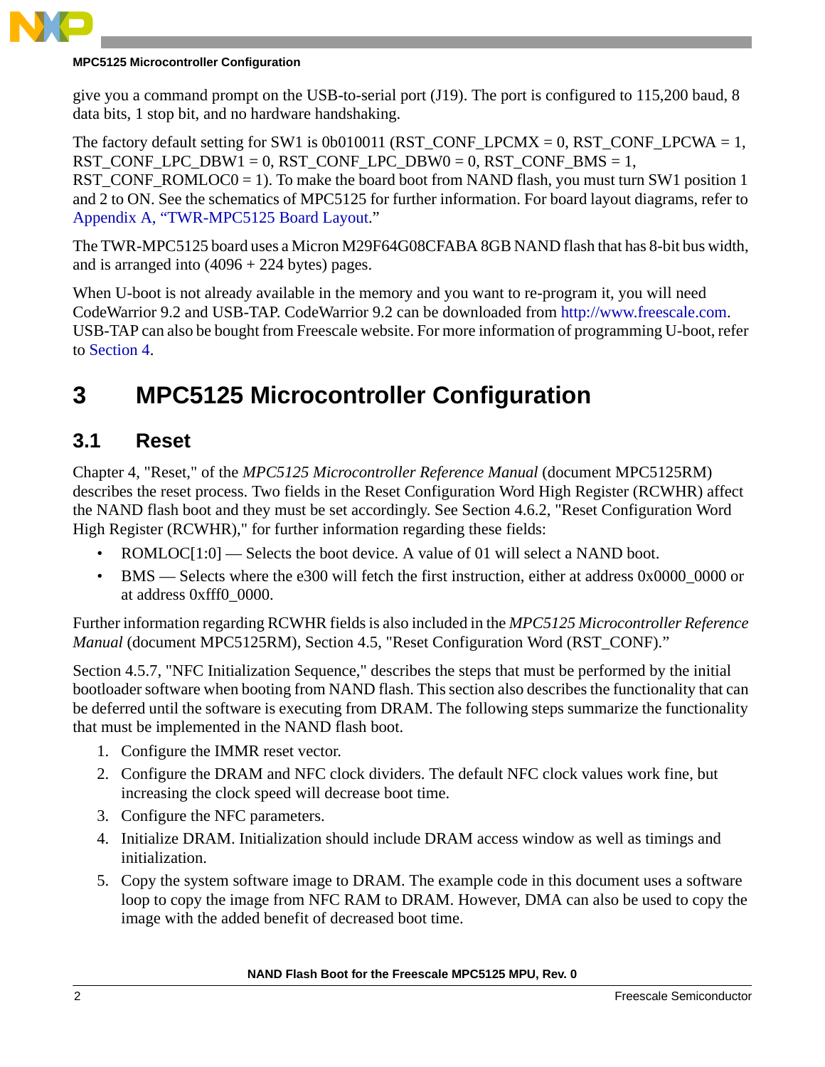

### **MPC5125 Microcontroller Configuration**

give you a command prompt on the USB-to-serial port (J19). The port is configured to 115,200 baud, 8 data bits, 1 stop bit, and no hardware handshaking.

The factory default setting for SW1 is 0b010011 (RST\_CONF\_LPCMX = 0, RST\_CONF\_LPCWA = 1,  $RST\_CONF\_LPC\_DBW1 = 0$ ,  $RST\_CONF\_LPC\_DBW0 = 0$ ,  $RST\_CONF\_BMS = 1$ , RST\_CONF\_ROMLOC0 = 1). To make the board boot from NAND flash, you must turn SW1 position 1 and 2 to ON. See the schematics of MPC5125 for further information. For board layout diagrams, refer to [Appendix A, "TWR-MPC5125 Board Layout.](#page-15-0)"

The TWR-MPC5125 board uses a Micron M29F64G08CFABA 8GB NAND flash that has 8-bit bus width, and is arranged into  $(4096 + 224$  bytes) pages.

When U-boot is not already available in the memory and you want to re-program it, you will need CodeWarrior 9.2 and USB-TAP. CodeWarrior 9.2 can be downloaded from [http://www.freescale.com.](http://www.freescale.com) USB-TAP can also be bought from Freescale website. For more information of programming U-boot, refer to [Section 4](#page-3-0).

## <span id="page-1-0"></span>**3 MPC5125 Microcontroller Configuration**

### <span id="page-1-1"></span>**3.1 Reset**

Chapter 4, "Reset," of the *MPC5125 Microcontroller Reference Manual* (document MPC5125RM) describes the reset process. Two fields in the Reset Configuration Word High Register (RCWHR) affect the NAND flash boot and they must be set accordingly. See Section 4.6.2, "Reset Configuration Word High Register (RCWHR)," for further information regarding these fields:

- ROMLOC[1:0] Selects the boot device. A value of 01 will select a NAND boot.
- BMS Selects where the e300 will fetch the first instruction, either at address 0x0000 0000 or at address 0xfff0\_0000.

Further information regarding RCWHR fields is also included in the *MPC5125 Microcontroller Reference Manual* (document MPC5125RM), Section 4.5, "Reset Configuration Word (RST\_CONF)."

Section 4.5.7, "NFC Initialization Sequence," describes the steps that must be performed by the initial bootloader software when booting from NAND flash. This section also describes the functionality that can be deferred until the software is executing from DRAM. The following steps summarize the functionality that must be implemented in the NAND flash boot.

- 1. Configure the IMMR reset vector.
- 2. Configure the DRAM and NFC clock dividers. The default NFC clock values work fine, but increasing the clock speed will decrease boot time.
- 3. Configure the NFC parameters.
- 4. Initialize DRAM. Initialization should include DRAM access window as well as timings and initialization.
- 5. Copy the system software image to DRAM. The example code in this document uses a software loop to copy the image from NFC RAM to DRAM. However, DMA can also be used to copy the image with the added benefit of decreased boot time.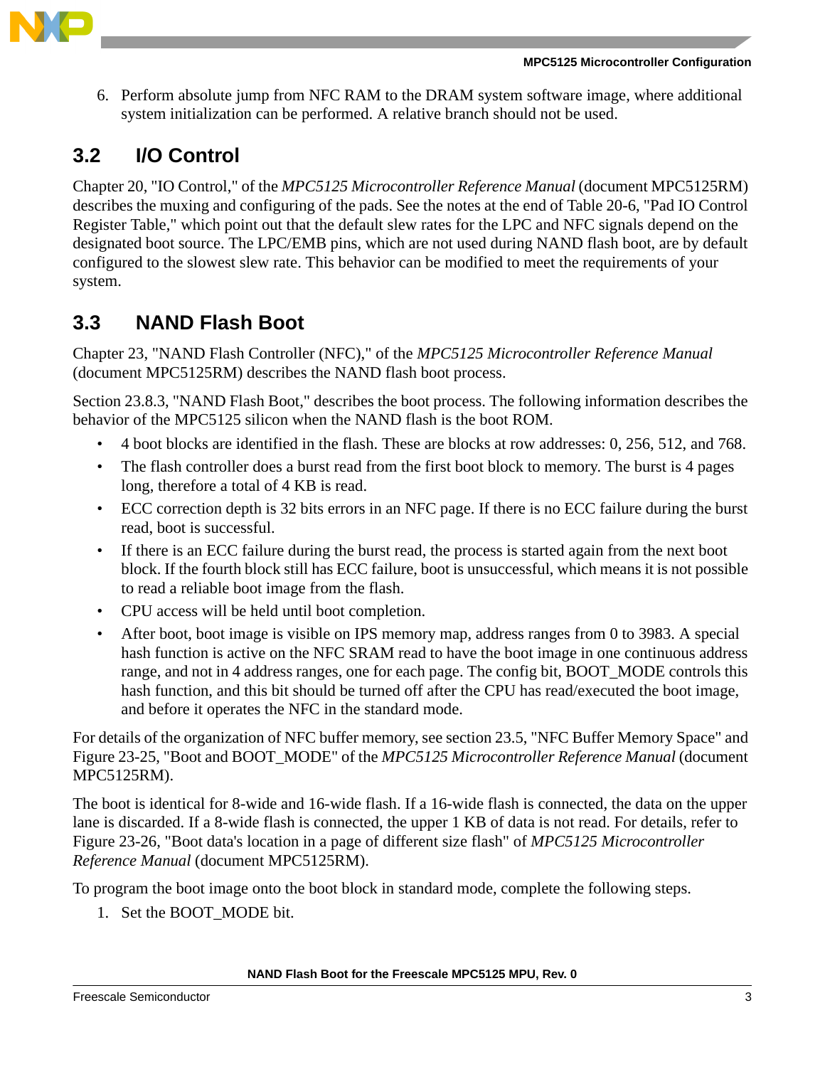

6. Perform absolute jump from NFC RAM to the DRAM system software image, where additional system initialization can be performed. A relative branch should not be used.

### <span id="page-2-0"></span>**3.2 I/O Control**

Chapter 20, "IO Control," of the *MPC5125 Microcontroller Reference Manual* (document MPC5125RM) describes the muxing and configuring of the pads. See the notes at the end of Table 20-6, "Pad IO Control Register Table," which point out that the default slew rates for the LPC and NFC signals depend on the designated boot source. The LPC/EMB pins, which are not used during NAND flash boot, are by default configured to the slowest slew rate. This behavior can be modified to meet the requirements of your system.

### <span id="page-2-1"></span>**3.3 NAND Flash Boot**

Chapter 23, "NAND Flash Controller (NFC)," of the *MPC5125 Microcontroller Reference Manual* (document MPC5125RM) describes the NAND flash boot process.

Section 23.8.3, "NAND Flash Boot," describes the boot process. The following information describes the behavior of the MPC5125 silicon when the NAND flash is the boot ROM.

- 4 boot blocks are identified in the flash. These are blocks at row addresses: 0, 256, 512, and 768.
- The flash controller does a burst read from the first boot block to memory. The burst is 4 pages long, therefore a total of 4 KB is read.
- ECC correction depth is 32 bits errors in an NFC page. If there is no ECC failure during the burst read, boot is successful.
- If there is an ECC failure during the burst read, the process is started again from the next boot block. If the fourth block still has ECC failure, boot is unsuccessful, which means it is not possible to read a reliable boot image from the flash.
- CPU access will be held until boot completion.
- After boot, boot image is visible on IPS memory map, address ranges from 0 to 3983. A special hash function is active on the NFC SRAM read to have the boot image in one continuous address range, and not in 4 address ranges, one for each page. The config bit, BOOT\_MODE controls this hash function, and this bit should be turned off after the CPU has read/executed the boot image, and before it operates the NFC in the standard mode.

For details of the organization of NFC buffer memory, see section 23.5, "NFC Buffer Memory Space" and Figure 23-25, "Boot and BOOT\_MODE" of the *MPC5125 Microcontroller Reference Manual* (document MPC5125RM).

The boot is identical for 8-wide and 16-wide flash. If a 16-wide flash is connected, the data on the upper lane is discarded. If a 8-wide flash is connected, the upper 1 KB of data is not read. For details, refer to Figure 23-26, "Boot data's location in a page of different size flash" of *MPC5125 Microcontroller Reference Manual* (document MPC5125RM).

To program the boot image onto the boot block in standard mode, complete the following steps.

1. Set the BOOT MODE bit.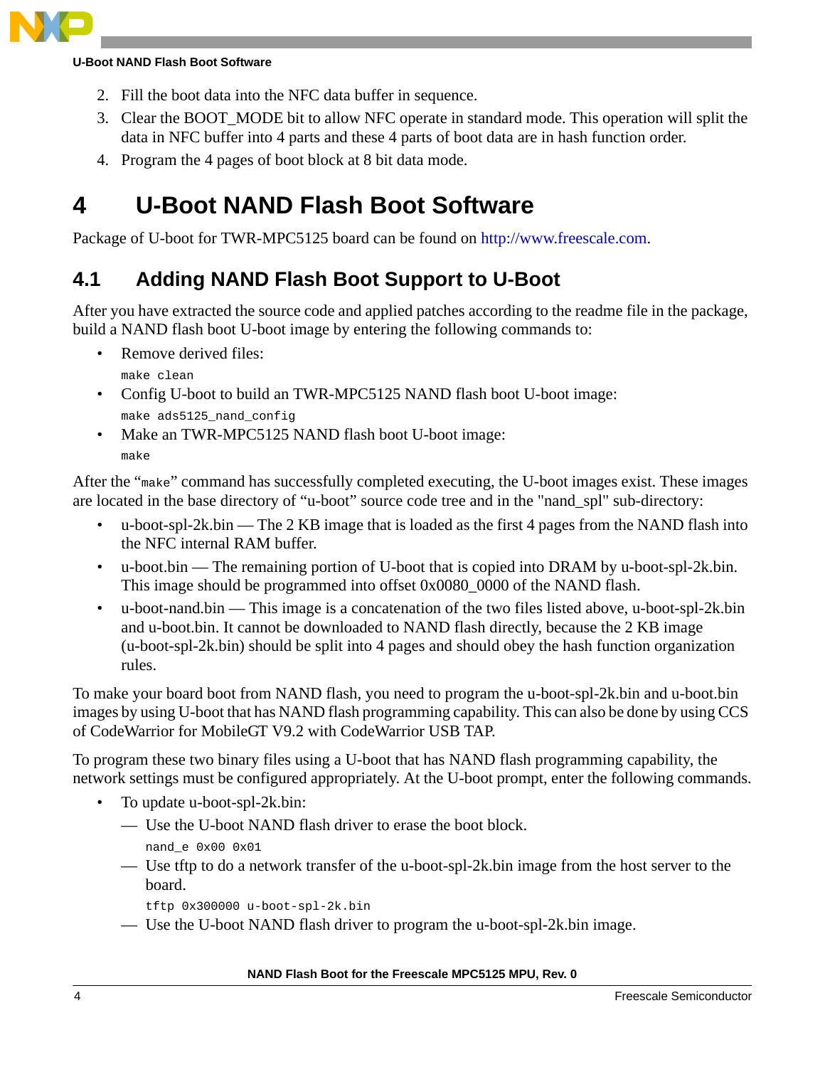

### **U-Boot NAND Flash Boot Software**

- 2. Fill the boot data into the NFC data buffer in sequence.
- 3. Clear the BOOT\_MODE bit to allow NFC operate in standard mode. This operation will split the data in NFC buffer into 4 parts and these 4 parts of boot data are in hash function order.
- 4. Program the 4 pages of boot block at 8 bit data mode.

## <span id="page-3-0"></span>**4 U-Boot NAND Flash Boot Software**

[Package of U-boot for TWR-MPC5125 board can be found on](http://www.freescale.com) http://www.freescale.com.

### <span id="page-3-1"></span>**4.1 Adding NAND Flash Boot Support to U-Boot**

After you have extracted the source code and applied patches according to the readme file in the package, build a NAND flash boot U-boot image by entering the following commands to:

Remove derived files:

make clean

- Config U-boot to build an TWR-MPC5125 NAND flash boot U-boot image: make ads5125\_nand\_config
- Make an TWR-MPC5125 NAND flash boot U-boot image: make

After the "make" command has successfully completed executing, the U-boot images exist. These images are located in the base directory of "u-boot" source code tree and in the "nand\_spl" sub-directory:

- u-boot-spl-2k.bin The 2 KB image that is loaded as the first 4 pages from the NAND flash into the NFC internal RAM buffer.
- u-boot.bin The remaining portion of U-boot that is copied into DRAM by u-boot-spl-2k.bin. This image should be programmed into offset 0x0080\_0000 of the NAND flash.
- u-boot-nand.bin This image is a concatenation of the two files listed above, u-boot-spl-2k.bin and u-boot.bin. It cannot be downloaded to NAND flash directly, because the 2 KB image (u-boot-spl-2k.bin) should be split into 4 pages and should obey the hash function organization rules.

To make your board boot from NAND flash, you need to program the u-boot-spl-2k.bin and u-boot.bin images by using U-boot that has NAND flash programming capability. This can also be done by using CCS of CodeWarrior for MobileGT V9.2 with CodeWarrior USB TAP.

To program these two binary files using a U-boot that has NAND flash programming capability, the network settings must be configured appropriately. At the U-boot prompt, enter the following commands.

- To update u-boot-spl-2k.bin:
	- Use the U-boot NAND flash driver to erase the boot block.
		- nand\_e 0x00 0x01
	- Use tftp to do a network transfer of the u-boot-spl-2k.bin image from the host server to the board.
		- tftp 0x300000 u-boot-spl-2k.bin
	- Use the U-boot NAND flash driver to program the u-boot-spl-2k.bin image.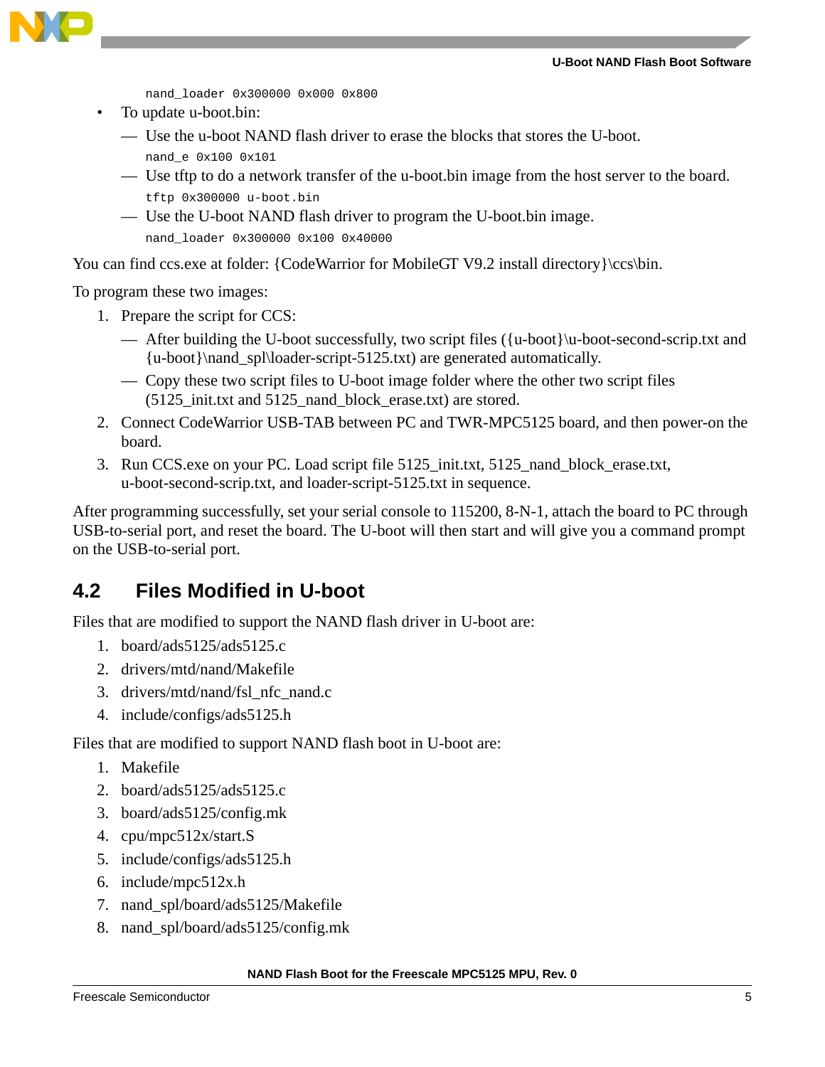### **U-Boot NAND Flash Boot Software**



nand\_loader 0x300000 0x000 0x800

• To update u-boot.bin:

— Use the u-boot NAND flash driver to erase the blocks that stores the U-boot.

- nand\_e 0x100 0x101
- Use tftp to do a network transfer of the u-boot.bin image from the host server to the board. tftp 0x300000 u-boot.bin
- Use the U-boot NAND flash driver to program the U-boot.bin image. nand\_loader 0x300000 0x100 0x40000

You can find ccs.exe at folder: {CodeWarrior for MobileGT V9.2 install directory}\ccs\bin.

To program these two images:

- 1. Prepare the script for CCS:
	- After building the U-boot successfully, two script files ({u-boot}\u-boot-second-scrip.txt and {u-boot}\nand\_spl\loader-script-5125.txt) are generated automatically.
	- Copy these two script files to U-boot image folder where the other two script files (5125\_init.txt and 5125\_nand\_block\_erase.txt) are stored.
- 2. Connect CodeWarrior USB-TAB between PC and TWR-MPC5125 board, and then power-on the board.
- 3. Run CCS.exe on your PC. Load script file 5125\_init.txt, 5125\_nand\_block\_erase.txt, u-boot-second-scrip.txt, and loader-script-5125.txt in sequence.

After programming successfully, set your serial console to 115200, 8-N-1, attach the board to PC through USB-to-serial port, and reset the board. The U-boot will then start and will give you a command prompt on the USB-to-serial port.

### <span id="page-4-0"></span>**4.2 Files Modified in U-boot**

Files that are modified to support the NAND flash driver in U-boot are:

- 1. board/ads5125/ads5125.c
- 2. drivers/mtd/nand/Makefile
- 3. drivers/mtd/nand/fsl\_nfc\_nand.c
- 4. include/configs/ads5125.h

Files that are modified to support NAND flash boot in U-boot are:

- 1. Makefile
- 2. board/ads5125/ads5125.c
- 3. board/ads5125/config.mk
- 4. cpu/mpc512x/start.S
- 5. include/configs/ads5125.h
- 6. include/mpc512x.h
- 7. nand\_spl/board/ads5125/Makefile
- 8. nand\_spl/board/ads5125/config.mk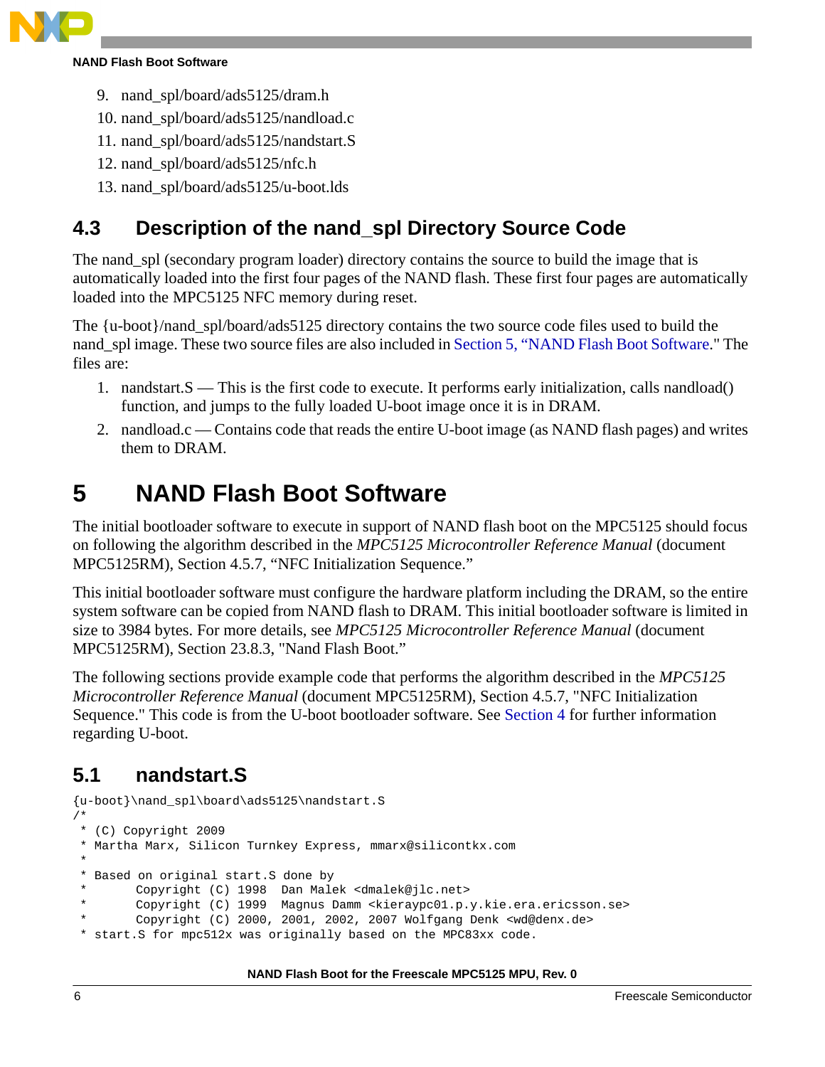

- 9. nand\_spl/board/ads5125/dram.h
- 10. nand\_spl/board/ads5125/nandload.c
- 11. nand\_spl/board/ads5125/nandstart.S
- 12. nand\_spl/board/ads5125/nfc.h
- 13. nand\_spl/board/ads5125/u-boot.lds

### <span id="page-5-0"></span>**4.3 Description of the nand\_spl Directory Source Code**

The nand\_spl (secondary program loader) directory contains the source to build the image that is automatically loaded into the first four pages of the NAND flash. These first four pages are automatically loaded into the MPC5125 NFC memory during reset.

The {u-boot}/nand\_spl/board/ads5125 directory contains the two source code files used to build the nand\_spl image. These two source files are also included in [Section 5, "NAND Flash Boot Software.](#page-5-1)" The files are:

- 1. nandstart.S This is the first code to execute. It performs early initialization, calls nandload() function, and jumps to the fully loaded U-boot image once it is in DRAM.
- 2. nandload.c Contains code that reads the entire U-boot image (as NAND flash pages) and writes them to DRAM.

## <span id="page-5-1"></span>**5 NAND Flash Boot Software**

The initial bootloader software to execute in support of NAND flash boot on the MPC5125 should focus on following the algorithm described in the *MPC5125 Microcontroller Reference Manual* (document MPC5125RM), Section 4.5.7, "NFC Initialization Sequence."

This initial bootloader software must configure the hardware platform including the DRAM, so the entire system software can be copied from NAND flash to DRAM. This initial bootloader software is limited in size to 3984 bytes. For more details, see *MPC5125 Microcontroller Reference Manual* (document MPC5125RM), Section 23.8.3, "Nand Flash Boot."

The following sections provide example code that performs the algorithm described in the *MPC5125 Microcontroller Reference Manual* (document MPC5125RM), Section 4.5.7, "NFC Initialization Sequence." This code is from the U-boot bootloader software. See [Section 4](#page-3-0) for further information regarding U-boot.

### <span id="page-5-2"></span>**5.1 nandstart.S**

```
{u-boot}\nand_spl\board\ads5125\nandstart.S
/*
 * (C) Copyright 2009
  * Martha Marx, Silicon Turnkey Express, mmarx@silicontkx.com
 *
  * Based on original start.S done by
        Copyright (C) 1998 Dan Malek <dmalek@jlc.net>
        Copyright (C) 1999 Magnus Damm <kieraypc01.p.y.kie.era.ericsson.se>
        Copyright (C) 2000, 2001, 2002, 2007 Wolfgang Denk <wd@denx.de>
 * start.S for mpc512x was originally based on the MPC83xx code.
```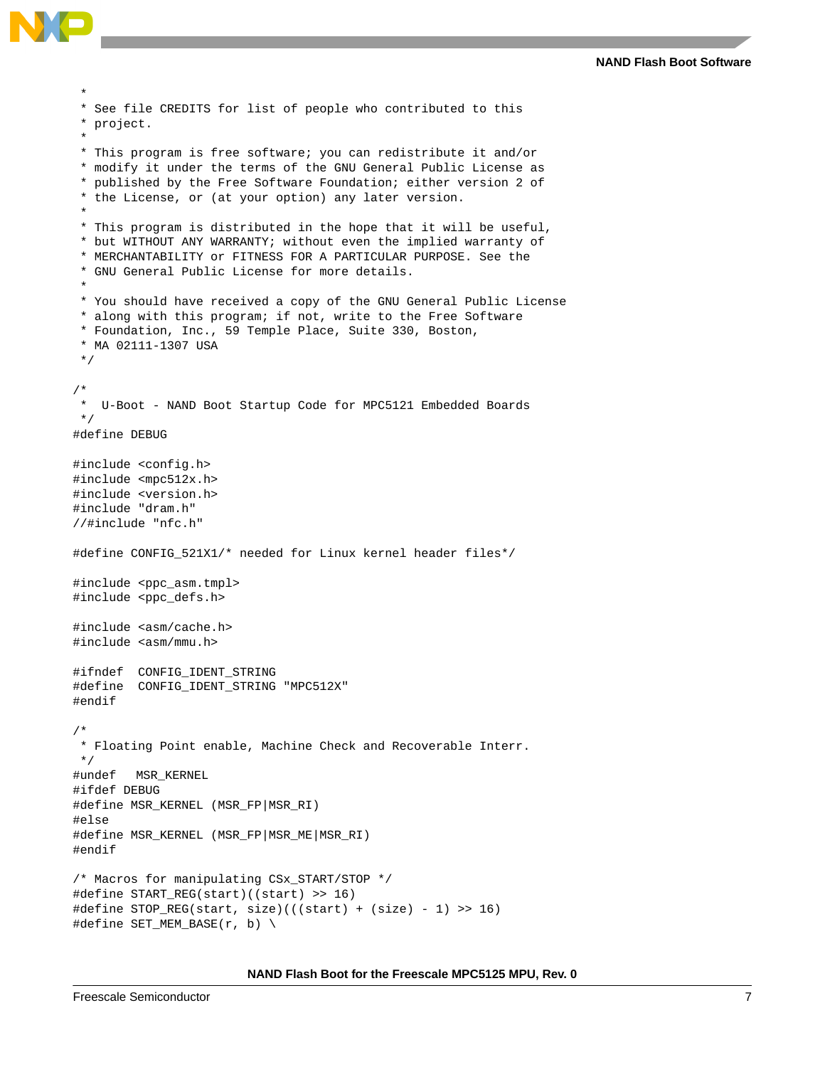

```
 *
  * See file CREDITS for list of people who contributed to this
  * project.
 *
  * This program is free software; you can redistribute it and/or
  * modify it under the terms of the GNU General Public License as
  * published by the Free Software Foundation; either version 2 of
  * the License, or (at your option) any later version.
 *
  * This program is distributed in the hope that it will be useful,
  * but WITHOUT ANY WARRANTY; without even the implied warranty of
  * MERCHANTABILITY or FITNESS FOR A PARTICULAR PURPOSE. See the
  * GNU General Public License for more details.
 *
  * You should have received a copy of the GNU General Public License
  * along with this program; if not, write to the Free Software
  * Foundation, Inc., 59 Temple Place, Suite 330, Boston,
  * MA 02111-1307 USA
  */
/*
   U-Boot - NAND Boot Startup Code for MPC5121 Embedded Boards
  */
#define DEBUG
#include <config.h>
#include <mpc512x.h>
#include <version.h>
#include "dram.h"
//#include "nfc.h"
#define CONFIG_521X1/* needed for Linux kernel header files*/
#include <ppc_asm.tmpl>
#include <ppc defs.h>
#include <asm/cache.h>
#include <asm/mmu.h>
#ifndef CONFIG_IDENT_STRING
#define CONFIG_IDENT_STRING "MPC512X"
#endif
/*
  * Floating Point enable, Machine Check and Recoverable Interr.
  */
#undef MSR_KERNEL
#ifdef DEBUG
#define MSR_KERNEL (MSR_FP|MSR_RI)
#else
#define MSR_KERNEL (MSR_FP|MSR_ME|MSR_RI)
#endif
/* Macros for manipulating CSx_START/STOP */
#define START_REG(start)((start) >> 16)
#define STOP_REG(start, size)(((start) + (size) - 1) >> 16)
#define SET_MEM_BASE(r, b) \
```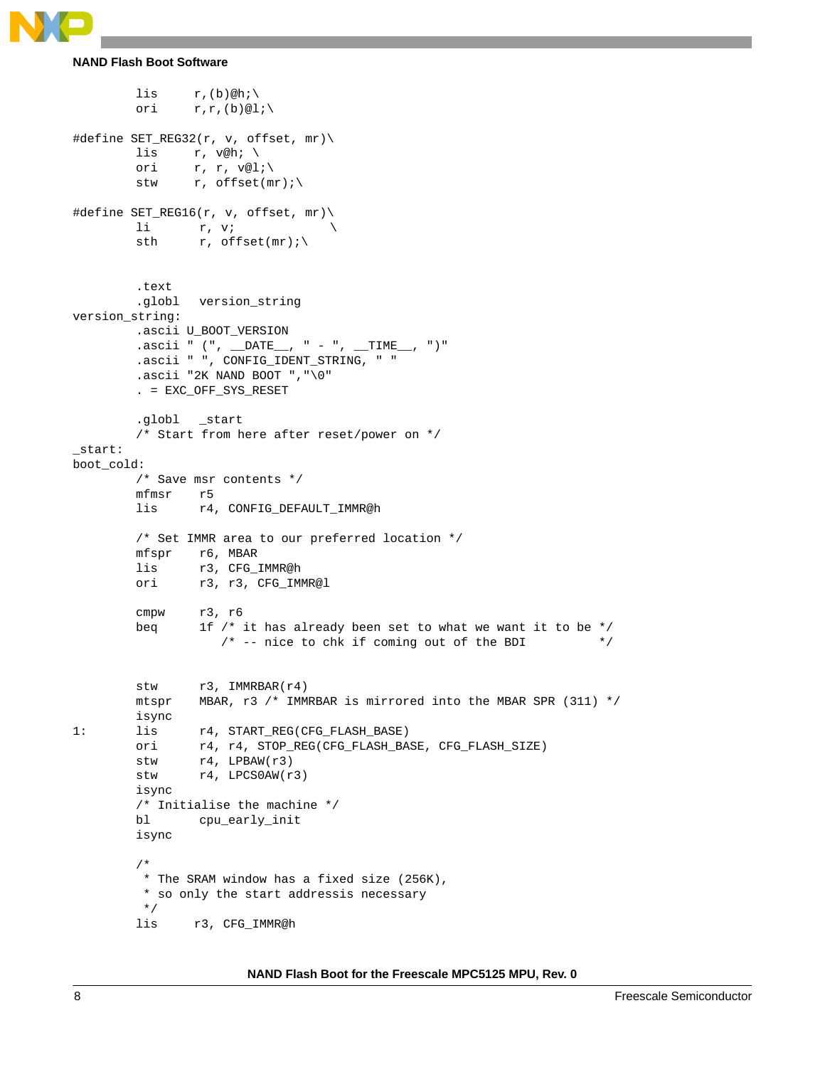

```
NAND Flash Boot Software
```

```
lis r,(b)@hi\setminusori r, r, (b) \otimes 1i#define SET_REG32(r, v, offset, mr)\
       lis r, v@h; \setminusori r, r, v@l;\
        stw r, offset(mr);
#define SET_REG16(r, v, offset, mr)\
       li r, v; \setminussth r, offset(mr);
        .text
       .globl version_string
version_string:
       .ascii U_BOOT_VERSION
        .ascii " (", __DATE__, " - ", __TIME__, ")"
        .ascii " ", CONFIG_IDENT_STRING, " "
        .ascii "2K NAND BOOT ","\0"
        . = EXC_OFF_SYS_RESET
        .globl _start
        /* Start from here after reset/power on */
_start:
boot_cold:
        /* Save msr contents */
       mfmsr r5
        lis r4, CONFIG DEFAULT IMMR@h
        /* Set IMMR area to our preferred location */
       mfspr r6, MBAR
        lis r3, CFG_IMMR@h
        ori r3, r3, CFG_IMMR@l
        cmpw r3, r6
        beq 1f /* it has already been set to what we want it to be */
                  /* -- nice to chk if coming out of the BDI *stw r3, IMMRBAR(r4)
       mtspr MBAR, r3 /* IMMRBAR is mirrored into the MBAR SPR (311) */
        isync 
1: lis r4, START_REG(CFG_FLASH_BASE)
        ori r4, r4, STOP_REG(CFG_FLASH_BASE, CFG_FLASH_SIZE)
       stw r4, LPBAW(r3)
       stw r4, LPCS0AW(r3)
       isync
        /* Initialise the machine */
       bl cpu_early_init
       isync
        /*
         * The SRAM window has a fixed size (256K),
         * so only the start addressis necessary
          */
        lis r3, CFG_IMMR@h
```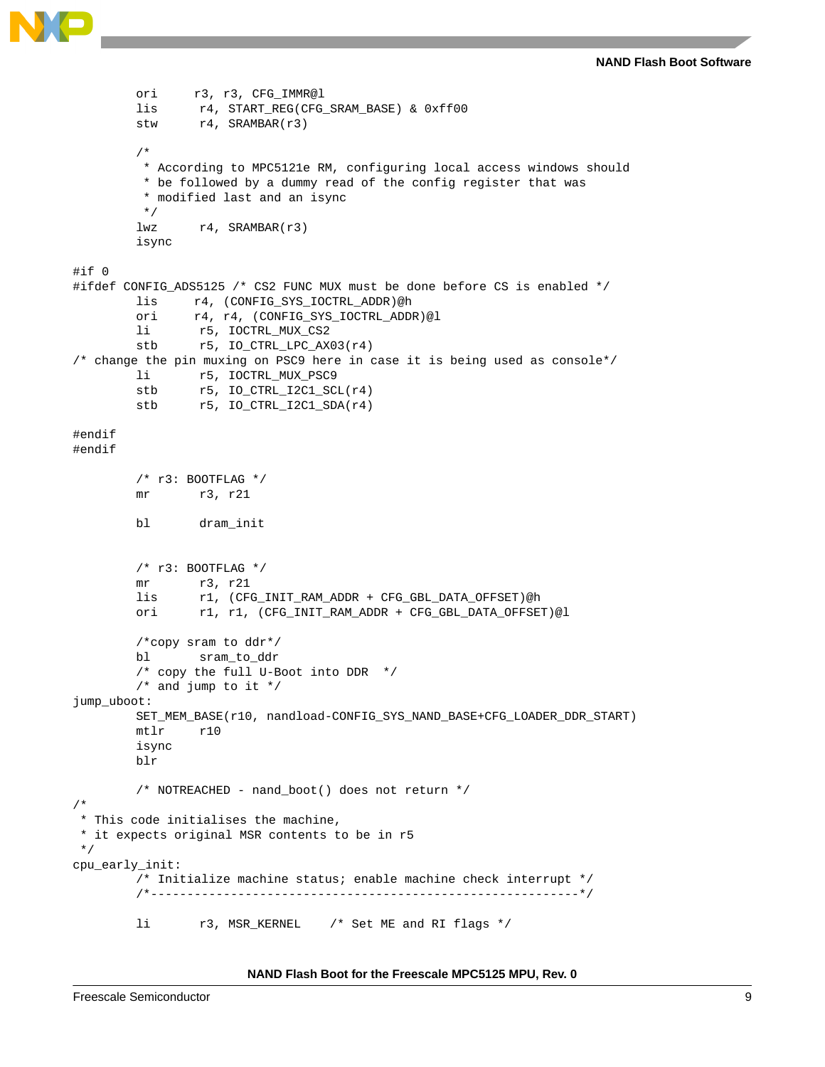```
ori r3, r3, CFG_IMMR@l
        lis r4, START_REG(CFG_SRAM_BASE) & 0xff00
        stw r4, SRAMBAR(r3)
        /*
          * According to MPC5121e RM, configuring local access windows should
          * be followed by a dummy read of the config register that was
          * modified last and an isync
          */
        lwz r4, SRAMBAR(r3)
        isync
#if 0
#ifdef CONFIG_ADS5125 /* CS2 FUNC MUX must be done before CS is enabled */
        lis r4, (CONFIG_SYS_IOCTRL_ADDR)@h
        ori r4, r4, (CONFIG_SYS_IOCTRL_ADDR)@l
        li r5, IOCTRL_MUX_CS2
        stb r5, IO_CTRL_LPC_AX03(r4)
/* change the pin muxing on PSC9 here in case it is being used as console*/
        li r5, IOCTRL_MUX_PSC9
        stb r5, IO_CTRL_I2C1_SCL(r4)
        stb r5, IO_CTRL_I2C1_SDA(r4)
#endif
#endif
        /* r3: BOOTFLAG */
        mr r3, r21
        bl dram_init
        /* r3: BOOTFLAG */
        mr r3, r21
        lis r1, (CFG_INIT_RAM_ADDR + CFG_GBL_DATA_OFFSET)@h
        ori r1, r1, (CFG_INIT_RAM_ADDR + CFG_GBL_DATA_OFFSET)@l
        /*copy sram to ddr*/
        bl sram_to_ddr
        /* copy the full U-Boot into DDR */
        /* and jump to it */jump_uboot:
        SET_MEM_BASE(r10, nandload-CONFIG_SYS_NAND_BASE+CFG_LOADER_DDR_START)
        mtlr r10
        isync
        blr
        /* NOTREACHED - nand_boot() does not return */
/*
  * This code initialises the machine,
 * it expects original MSR contents to be in r5
 */
cpu_early_init:
        /* Initialize machine status; enable machine check interrupt */
        /*-----------------------------------------------------------*/
        li r3, MSR_KERNEL /* Set ME and RI flags */
```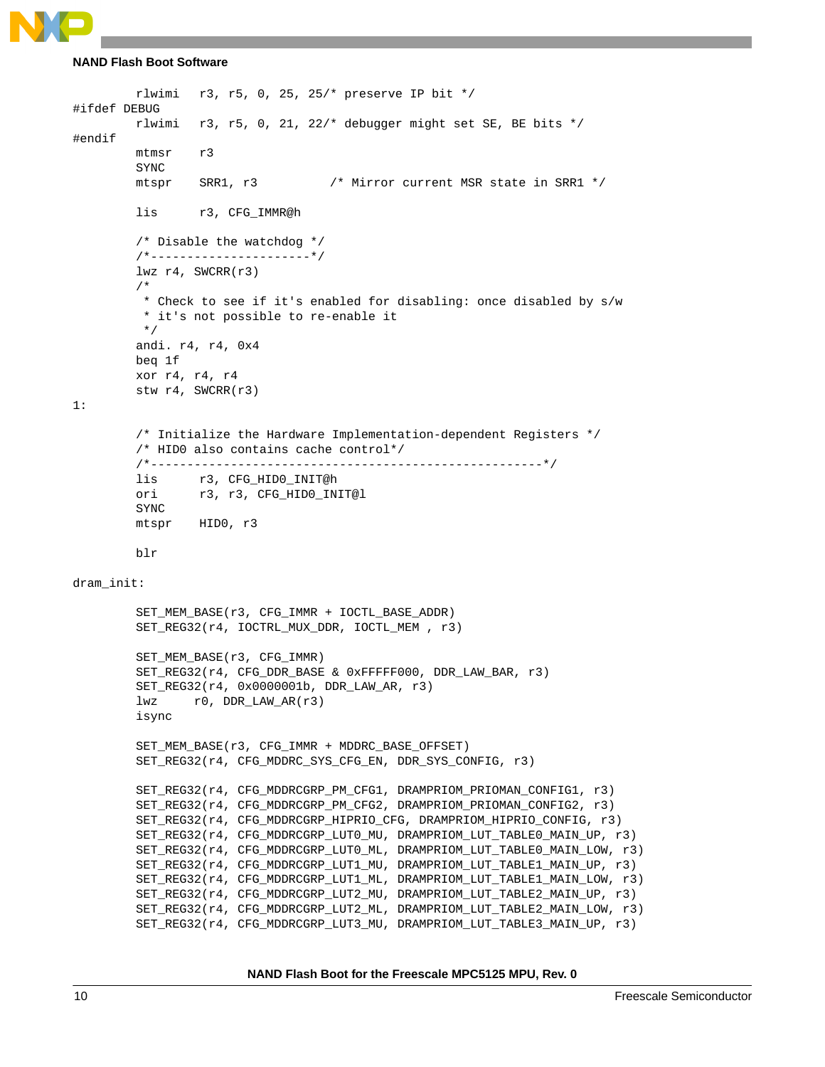```
NAND Flash Boot Software
```

```
rlwimi r3, r5, 0, 25, 25/* preserve IP bit */
#ifdef DEBUG
        rlwimi r3, r5, 0, 21, 22/* debugger might set SE, BE bits */
#endif
        mtmsr r3
        SYNC
        mtspr SRR1, r3 /* Mirror current MSR state in SRR1 */
        lis r3, CFG_IMMR@h
        /* Disable the watchdog */
        /*----------------------*/
        lwz r4, SWCRR(r3)
        /*
          * Check to see if it's enabled for disabling: once disabled by s/w
          * it's not possible to re-enable it
          */
        andi. r4, r4, 0x4
        beq 1f
        xor r4, r4, r4
        stw r4, SWCRR(r3)
1:
        /* Initialize the Hardware Implementation-dependent Registers */
        /* HID0 also contains cache control*/
        /*------------------------------------------------------*/
        lis r3, CFG_HID0_INIT@h
        ori r3, r3, CFG_HID0_INIT@l
        SYNC
        mtspr HID0, r3
        blr
dram_init:
        SET_MEM_BASE(r3, CFG_IMMR + IOCTL_BASE_ADDR)
        SET_REG32(r4, IOCTRL_MUX_DDR, IOCTL_MEM , r3)
        SET_MEM_BASE(r3, CFG_IMMR)
        SET_REG32(r4, CFG_DDR_BASE & 0xFFFFF000, DDR_LAW_BAR, r3)
        SET_REG32(r4, 0x0000001b, DDR_LAW_AR, r3)
        lwx r0, DDR_LAW_R(r3)isync
        SET_MEM_BASE(r3, CFG_IMMR + MDDRC_BASE_OFFSET)
        SET_REG32(r4, CFG_MDDRC_SYS_CFG_EN, DDR_SYS_CONFIG, r3)
        SET_REG32(r4, CFG_MDDRCGRP_PM_CFG1, DRAMPRIOM_PRIOMAN_CONFIG1, r3)
        SET_REG32(r4, CFG_MDDRCGRP_PM_CFG2, DRAMPRIOM_PRIOMAN_CONFIG2, r3)
        SET_REG32(r4, CFG_MDDRCGRP_HIPRIO_CFG, DRAMPRIOM_HIPRIO_CONFIG, r3)
        SET_REG32(r4, CFG_MDDRCGRP_LUT0_MU, DRAMPRIOM_LUT_TABLE0_MAIN_UP, r3)
        SET_REG32(r4, CFG_MDDRCGRP_LUT0_ML, DRAMPRIOM_LUT_TABLE0_MAIN_LOW, r3)
        SET_REG32(r4, CFG_MDDRCGRP_LUT1_MU, DRAMPRIOM_LUT_TABLE1_MAIN_UP, r3)
        SET_REG32(r4, CFG_MDDRCGRP_LUT1_ML, DRAMPRIOM_LUT_TABLE1_MAIN_LOW, r3)
        SET_REG32(r4, CFG_MDDRCGRP_LUT2_MU, DRAMPRIOM_LUT_TABLE2_MAIN_UP, r3)
        SET_REG32(r4, CFG_MDDRCGRP_LUT2_ML, DRAMPRIOM_LUT_TABLE2_MAIN_LOW, r3)
        SET_REG32(r4, CFG_MDDRCGRP_LUT3_MU, DRAMPRIOM_LUT_TABLE3_MAIN_UP, r3)
```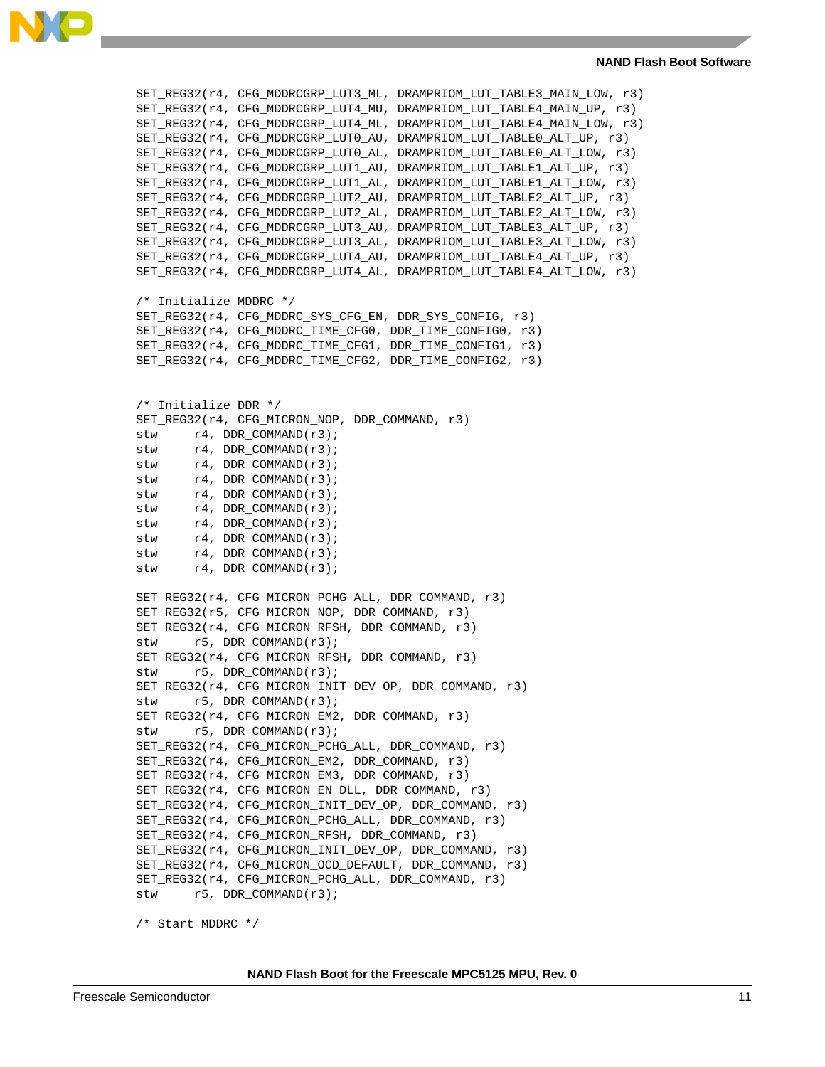

SET\_REG32(r4, CFG\_MDDRCGRP\_LUT3\_ML, DRAMPRIOM\_LUT\_TABLE3\_MAIN\_LOW, r3) SET\_REG32(r4, CFG\_MDDRCGRP\_LUT4\_MU, DRAMPRIOM\_LUT\_TABLE4\_MAIN\_UP, r3) SET\_REG32(r4, CFG\_MDDRCGRP\_LUT4\_ML, DRAMPRIOM\_LUT\_TABLE4\_MAIN\_LOW, r3) SET\_REG32(r4, CFG\_MDDRCGRP\_LUT0\_AU, DRAMPRIOM\_LUT\_TABLE0\_ALT\_UP, r3) SET\_REG32(r4, CFG\_MDDRCGRP\_LUT0\_AL, DRAMPRIOM\_LUT\_TABLE0\_ALT\_LOW, r3) SET\_REG32(r4, CFG\_MDDRCGRP\_LUT1\_AU, DRAMPRIOM\_LUT\_TABLE1\_ALT\_UP, r3) SET\_REG32(r4, CFG\_MDDRCGRP\_LUT1\_AL, DRAMPRIOM\_LUT\_TABLE1\_ALT\_LOW, r3) SET\_REG32(r4, CFG\_MDDRCGRP\_LUT2\_AU, DRAMPRIOM\_LUT\_TABLE2\_ALT\_UP, r3) SET\_REG32(r4, CFG\_MDDRCGRP\_LUT2\_AL, DRAMPRIOM\_LUT\_TABLE2\_ALT\_LOW, r3) SET\_REG32(r4, CFG\_MDDRCGRP\_LUT3\_AU, DRAMPRIOM\_LUT\_TABLE3\_ALT\_UP, r3) SET\_REG32(r4, CFG\_MDDRCGRP\_LUT3\_AL, DRAMPRIOM\_LUT\_TABLE3\_ALT\_LOW, r3) SET\_REG32(r4, CFG\_MDDRCGRP\_LUT4\_AU, DRAMPRIOM\_LUT\_TABLE4\_ALT\_UP, r3) SET\_REG32(r4, CFG\_MDDRCGRP\_LUT4\_AL, DRAMPRIOM\_LUT\_TABLE4\_ALT\_LOW, r3) /\* Initialize MDDRC \*/ SET\_REG32(r4, CFG\_MDDRC\_SYS\_CFG\_EN, DDR\_SYS\_CONFIG, r3) SET\_REG32(r4, CFG\_MDDRC\_TIME\_CFG0, DDR\_TIME\_CONFIG0, r3) SET\_REG32(r4, CFG\_MDDRC\_TIME\_CFG1, DDR\_TIME\_CONFIG1, r3) SET\_REG32(r4, CFG\_MDDRC\_TIME\_CFG2, DDR\_TIME\_CONFIG2, r3) /\* Initialize DDR \*/ SET\_REG32(r4, CFG\_MICRON\_NOP, DDR\_COMMAND, r3) stw  $r4$ , DDR\_COMMAND(r3); stw  $r4$ , DDR\_COMMAND(r3); stw  $r4$ , DDR\_COMMAND(r3); stw  $r4$ , DDR\_COMMAND(r3); stw r4, DDR\_COMMAND(r3); stw  $r4$ , DDR COMMAND( $r3$ ); stw  $r4$ , DDR\_COMMAND(r3); stw  $r4$ , DDR\_COMMAND(r3); stw  $r4$ , DDR\_COMMAND(r3); stw  $r4$ , DDR\_COMMAND(r3); SET\_REG32(r4, CFG\_MICRON\_PCHG\_ALL, DDR\_COMMAND, r3) SET\_REG32(r5, CFG\_MICRON\_NOP, DDR\_COMMAND, r3) SET\_REG32(r4, CFG\_MICRON\_RFSH, DDR\_COMMAND, r3) stw r5, DDR\_COMMAND(r3); SET\_REG32(r4, CFG\_MICRON\_RFSH, DDR\_COMMAND, r3) stw r5, DDR\_COMMAND(r3); SET\_REG32(r4, CFG\_MICRON\_INIT\_DEV\_OP, DDR\_COMMAND, r3) stw r5, DDR\_COMMAND(r3); SET\_REG32(r4, CFG\_MICRON\_EM2, DDR\_COMMAND, r3) stw r5, DDR\_COMMAND(r3); SET\_REG32(r4, CFG\_MICRON\_PCHG\_ALL, DDR\_COMMAND, r3) SET\_REG32(r4, CFG\_MICRON\_EM2, DDR\_COMMAND, r3) SET\_REG32(r4, CFG\_MICRON\_EM3, DDR\_COMMAND, r3) SET\_REG32(r4, CFG\_MICRON\_EN\_DLL, DDR\_COMMAND, r3) SET\_REG32(r4, CFG\_MICRON\_INIT\_DEV\_OP, DDR\_COMMAND, r3) SET\_REG32(r4, CFG\_MICRON\_PCHG\_ALL, DDR\_COMMAND, r3) SET\_REG32(r4, CFG\_MICRON\_RFSH, DDR\_COMMAND, r3) SET\_REG32(r4, CFG\_MICRON\_INIT\_DEV\_OP, DDR\_COMMAND, r3) SET\_REG32(r4, CFG\_MICRON\_OCD\_DEFAULT, DDR\_COMMAND, r3) SET\_REG32(r4, CFG\_MICRON\_PCHG\_ALL, DDR\_COMMAND, r3) stw r5, DDR\_COMMAND(r3); /\* Start MDDRC \*/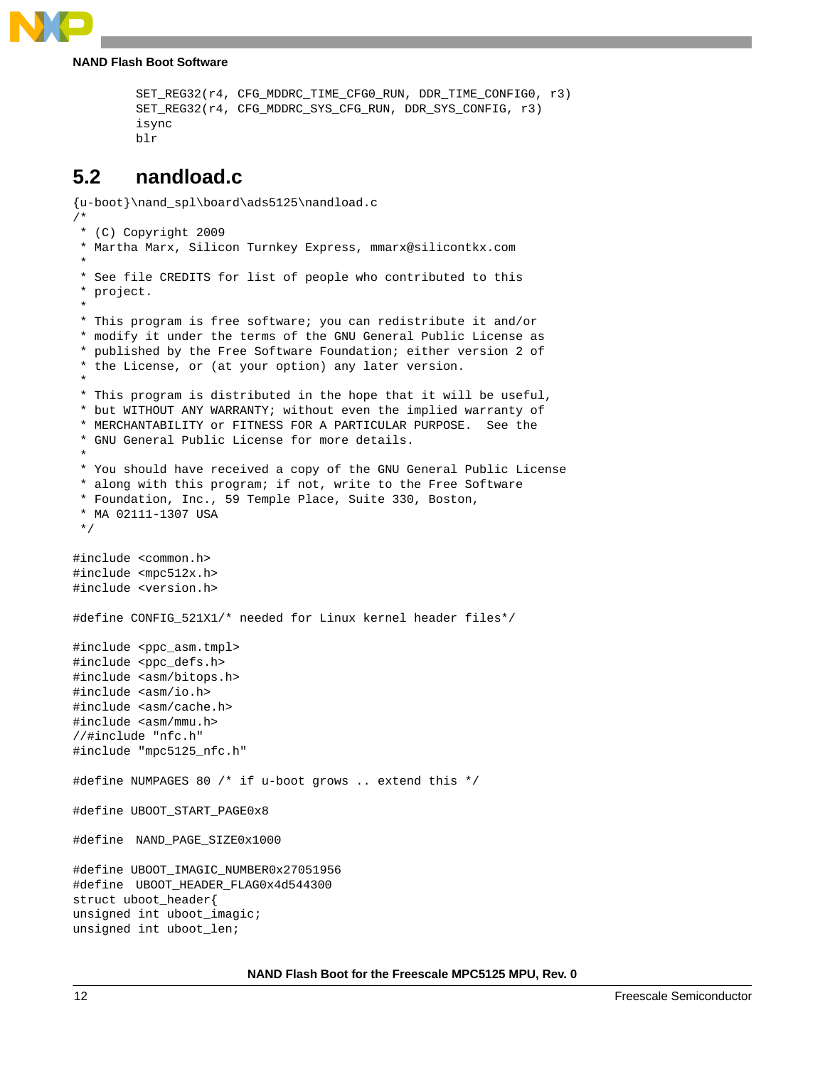

```
SET_REG32(r4, CFG_MDDRC_TIME_CFG0_RUN, DDR_TIME_CONFIG0, r3)
SET_REG32(r4, CFG_MDDRC_SYS_CFG_RUN, DDR_SYS_CONFIG, r3)
isync
blr
```
### <span id="page-11-0"></span>**5.2 nandload.c**

```
{u-boot}\nand_spl\board\ads5125\nandload.c
/*
  * (C) Copyright 2009
  * Martha Marx, Silicon Turnkey Express, mmarx@silicontkx.com
 *
  * See file CREDITS for list of people who contributed to this
  * project.
 *
  * This program is free software; you can redistribute it and/or
  * modify it under the terms of the GNU General Public License as
  * published by the Free Software Foundation; either version 2 of
  * the License, or (at your option) any later version.
 *
  * This program is distributed in the hope that it will be useful,
  * but WITHOUT ANY WARRANTY; without even the implied warranty of
  * MERCHANTABILITY or FITNESS FOR A PARTICULAR PURPOSE. See the
  * GNU General Public License for more details.
 *
  * You should have received a copy of the GNU General Public License
  * along with this program; if not, write to the Free Software
  * Foundation, Inc., 59 Temple Place, Suite 330, Boston,
  * MA 02111-1307 USA
  */
#include <common.h>
#include <mpc512x.h>
#include <version.h>
#define CONFIG_521X1/* needed for Linux kernel header files*/
#include <ppc_asm.tmpl>
#include <ppc_defs.h>
#include <asm/bitops.h>
#include <asm/io.h>
#include <asm/cache.h>
#include <asm/mmu.h>
//#include "nfc.h"
#include "mpc5125_nfc.h"
#define NUMPAGES 80 /* if u-boot grows .. extend this */
#define UBOOT_START_PAGE0x8
#define NAND_PAGE_SIZE0x1000
#define UBOOT_IMAGIC_NUMBER0x27051956
#define UBOOT_HEADER_FLAG0x4d544300
struct uboot_header{
unsigned int uboot_imagic;
unsigned int uboot_len;
```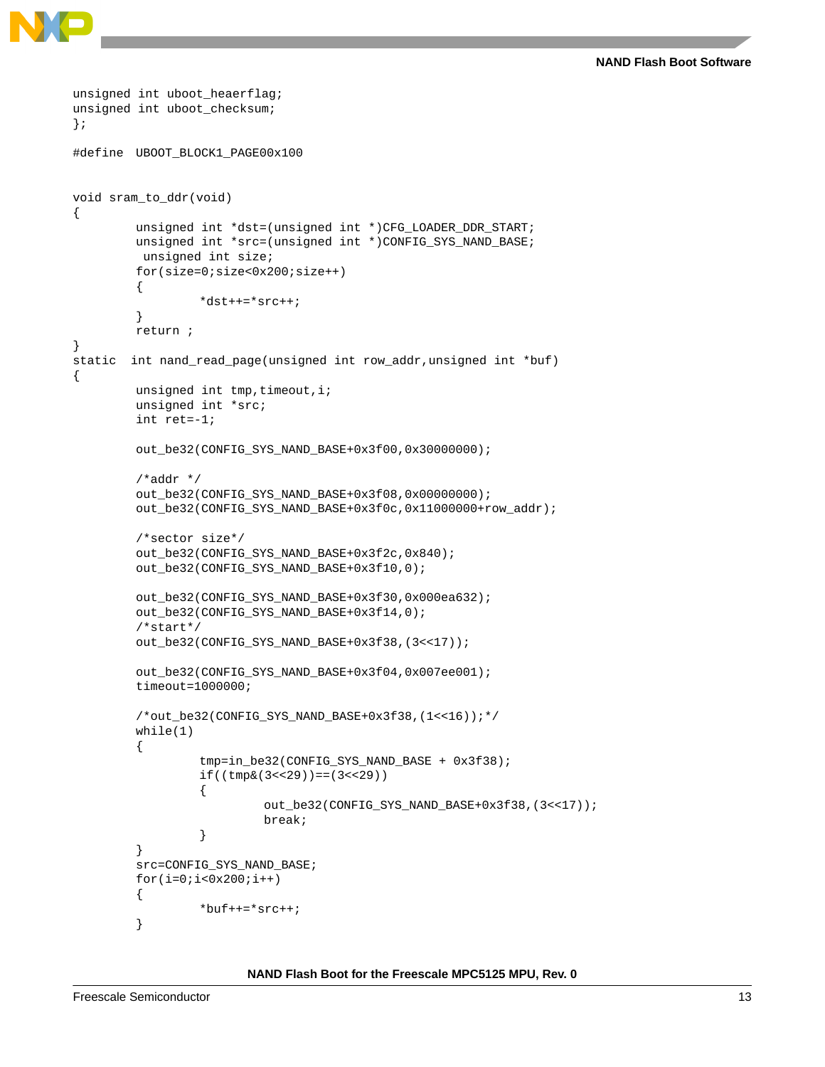**NAND Flash Boot Software**

```
unsigned int uboot_checksum;
};
#define UBOOT BLOCK1 PAGE00x100
void sram_to_ddr(void)
{
        unsigned int *dst=(unsigned int *)CFG_LOADER_DDR_START;
        unsigned int *src=(unsigned int *)CONFIG_SYS_NAND_BASE;
          unsigned int size;
        for(size=0;size<0x200;size++)
         {
                  *dist++=*src++;}
        return ;
}
static int nand_read_page(unsigned int row_addr,unsigned int *buf)
{
        unsigned int tmp, timeout, i;
        unsigned int *src;
         int ret=-1;
        out_be32(CONFIG_SYS_NAND_BASE+0x3f00,0x30000000);
         /*addr * /out_be32(CONFIG_SYS_NAND_BASE+0x3f08,0x00000000);
        out_be32(CONFIG_SYS_NAND_BASE+0x3f0c,0x11000000+row_addr);
         /*sector size*/
        out_be32(CONFIG_SYS_NAND_BASE+0x3f2c,0x840);
        out_be32(CONFIG_SYS_NAND_BASE+0x3f10,0);
        out be32(CONFIG SYS NAND BASE+0x3f30,0x000ea632);
        out_be32(CONFIG_SYS_NAND_BASE+0x3f14,0);
         /*start*/
        out_be32(CONFIG_SYS_NAND_BASE+0x3f38,(3<<17));
        out_be32(CONFIG_SYS_NAND_BASE+0x3f04,0x007ee001);
        timeout=1000000;
         /*out_be32(CONFIG_SYS_NAND_BASE+0x3f38,(1<<16));*/
        while(1)
         {
                  tmp=in_be32(CONFIG_SYS_NAND_BASE + 0x3f38);
                  if((tmp&(3<<29))==(3<<29)){
                           out_be32(CONFIG_SYS_NAND_BASE+0x3f38,(3<<17));
                           break;
                  }
         }
        src=CONFIG_SYS_NAND_BASE;
        for(i=0;i<0x200;i++){
                  *buf + + = * src + + ;
         }
```
**NAND Flash Boot for the Freescale MPC5125 MPU, Rev. 0**

unsigned int uboot\_heaerflag;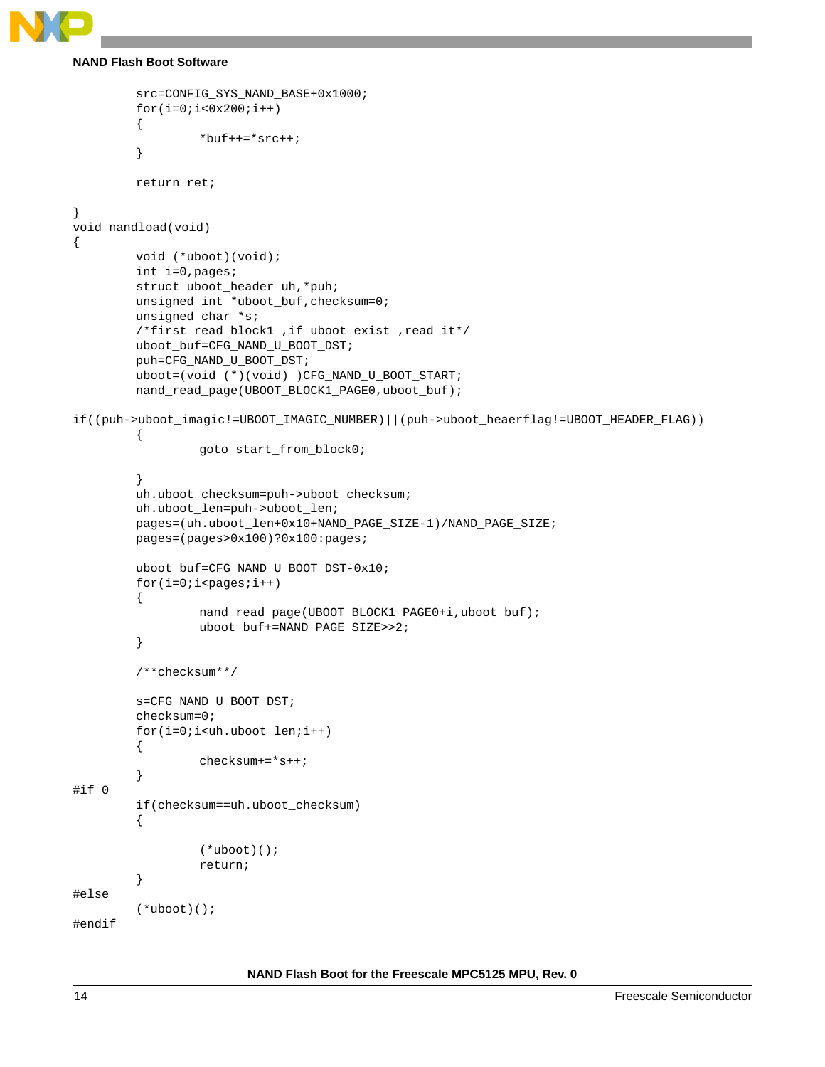```
NAND Flash Boot Software
```

```
src=CONFIG_SYS_NAND_BASE+0x1000;
        for(i=0;i<0x200;i++){
                  *buf + + = * src + +;
         }
        return ret;
}
void nandload(void)
{
        void (*uboot)(void);
        int i=0,pages;
        struct uboot_header uh,*puh;
        unsigned int *uboot_buf, checksum=0;
        unsigned char *s;
         /*first read block1 ,if uboot exist ,read it*/
        uboot_buf=CFG_NAND_U_BOOT_DST;
        puh=CFG_NAND_U_BOOT_DST;
        uboot=(void (*)(void) )CFG_NAND_U_BOOT_START;
        nand_read_page(UBOOT_BLOCK1_PAGE0,uboot_buf);
if((puh->uboot_imagic!=UBOOT_IMAGIC_NUMBER)||(puh->uboot_heaerflag!=UBOOT_HEADER_FLAG))
         {
                  goto start_from_block0;
         }
        uh.uboot_checksum=puh->uboot_checksum;
        uh.uboot_len=puh->uboot_len;
        pages=(uh.uboot_len+0x10+NAND_PAGE_SIZE-1)/NAND_PAGE_SIZE;
        pages=(pages>0x100)?0x100:pages;
        uboot_buf=CFG_NAND_U_BOOT_DST-0x10;
        for(i=0;i<pages;i++){
                  nand_read_page(UBOOT_BLOCK1_PAGE0+i,uboot_buf);
                  uboot_buf+=NAND_PAGE_SIZE>>2;
         }
         /**checksum**/
        s=CFG_NAND_U_BOOT_DST;
        checksum=0;
         for(i=0;i<uh.uboot_len;i++)
         {
                  checksum+=*s++;
         }
#if 0
        if(checksum==uh.uboot_checksum)
         {
                  (*uboot)();
                  return;
         }
#else
         (*uboot)();
#endif
```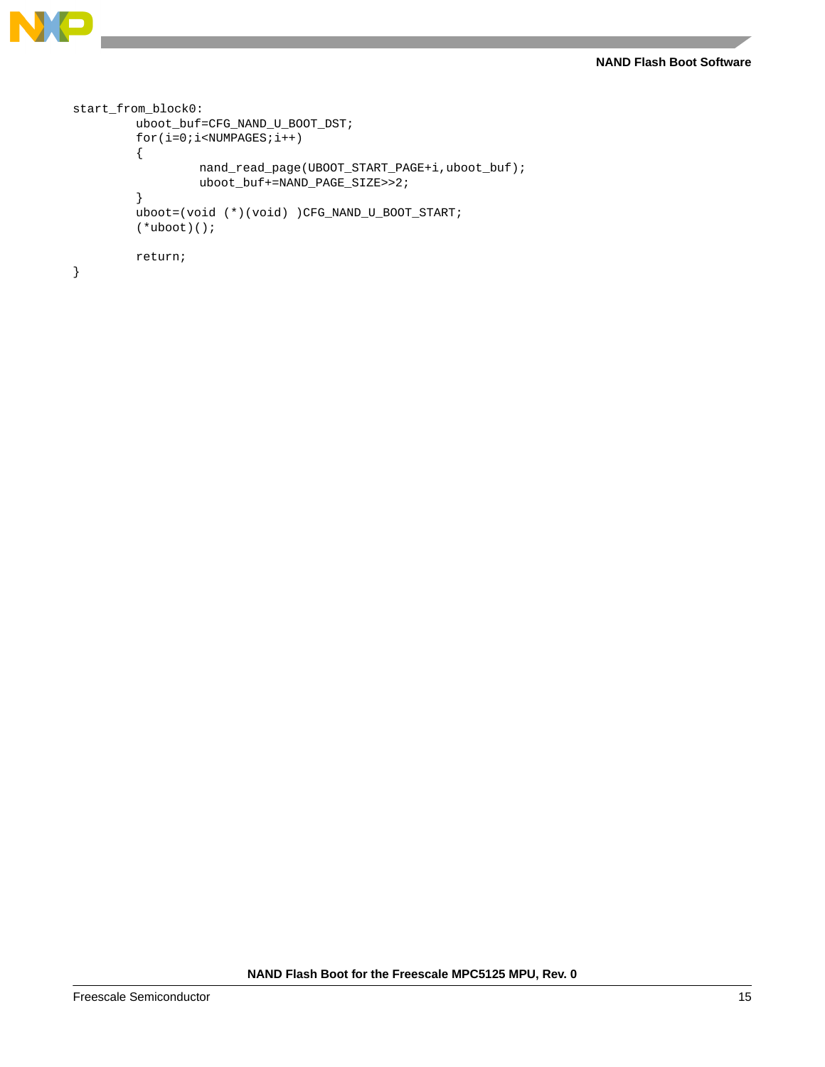```
N
```

```
start_from_block0:
        uboot_buf=CFG_NAND_U_BOOT_DST;
        for(i=0;i<NUMPAGES;i++){
                 nand_read_page(UBOOT_START_PAGE+i,uboot_buf);
                 uboot_buf+=NAND_PAGE_SIZE>>2;
        }
        uboot=(void (*)(void) )CFG_NAND_U_BOOT_START;
        (*uboot)();
        return;
}
```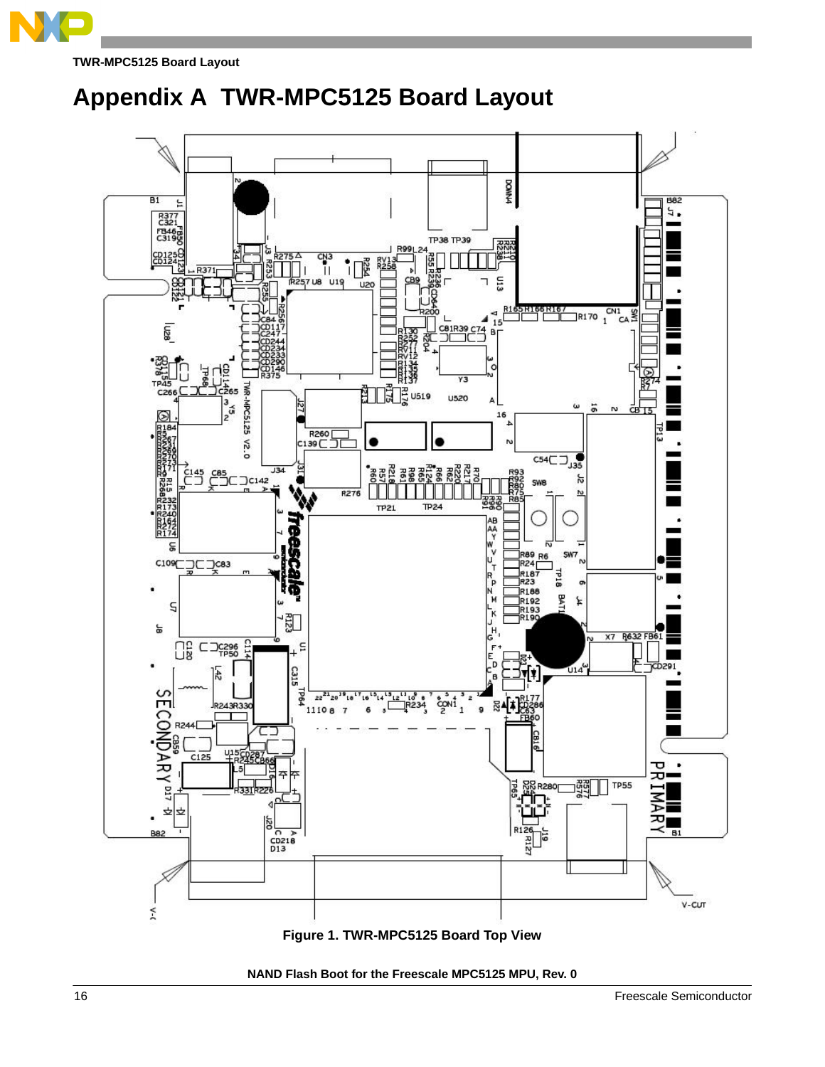

**TWR-MPC5125 Board Layout**

## <span id="page-15-0"></span>**Appendix A TWR-MPC5125 Board Layout**

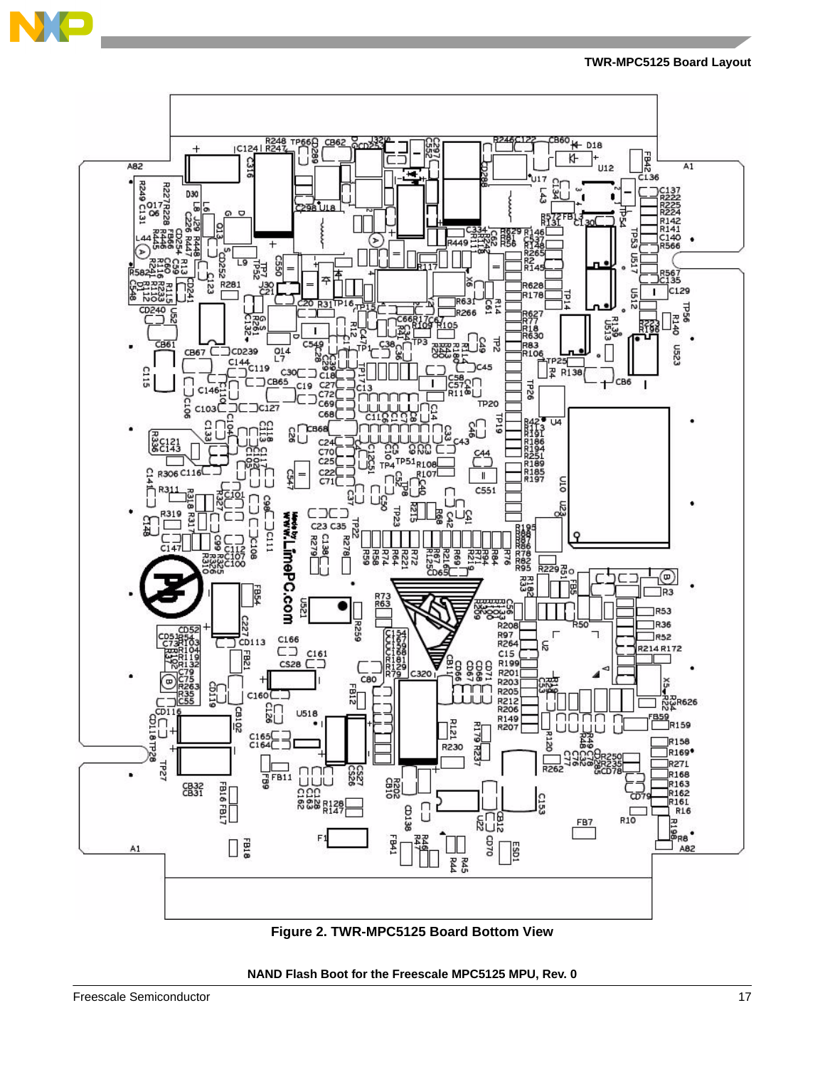

**TWR-MPC5125 Board Layout**



**Figure 2. TWR-MPC5125 Board Bottom View**